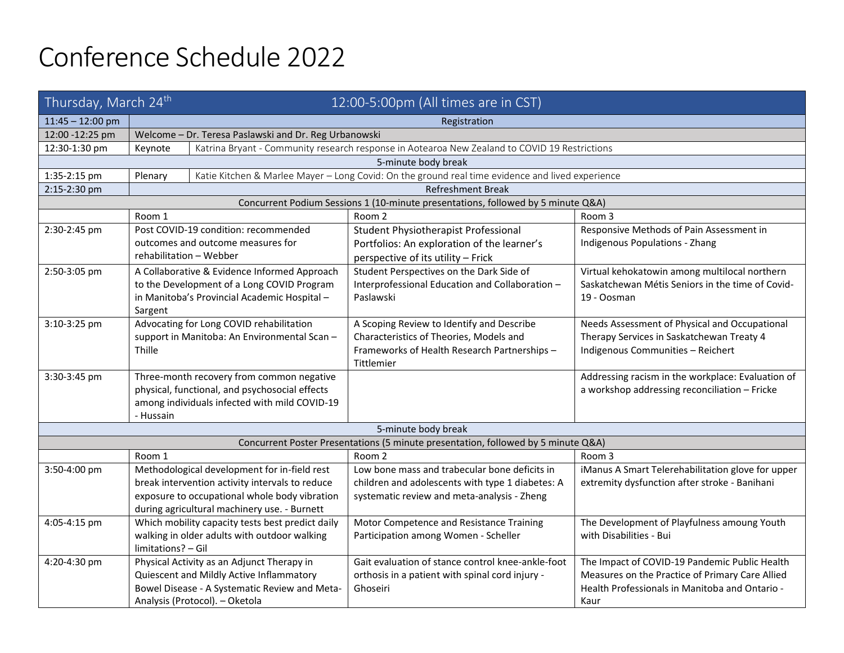## Conference Schedule 2022

| Thursday, March 24 <sup>th</sup>                                                 |                                                                                                                                                                                                  | 12:00-5:00pm (All times are in CST) |                                                                                                                                                    |                                                                                                                                                            |  |  |  |  |  |
|----------------------------------------------------------------------------------|--------------------------------------------------------------------------------------------------------------------------------------------------------------------------------------------------|-------------------------------------|----------------------------------------------------------------------------------------------------------------------------------------------------|------------------------------------------------------------------------------------------------------------------------------------------------------------|--|--|--|--|--|
| $11:45 - 12:00$ pm                                                               | Registration                                                                                                                                                                                     |                                     |                                                                                                                                                    |                                                                                                                                                            |  |  |  |  |  |
| 12:00 -12:25 pm                                                                  | Welcome - Dr. Teresa Paslawski and Dr. Reg Urbanowski                                                                                                                                            |                                     |                                                                                                                                                    |                                                                                                                                                            |  |  |  |  |  |
| 12:30-1:30 pm                                                                    | Katrina Bryant - Community research response in Aotearoa New Zealand to COVID 19 Restrictions<br>Keynote                                                                                         |                                     |                                                                                                                                                    |                                                                                                                                                            |  |  |  |  |  |
| 5-minute body break                                                              |                                                                                                                                                                                                  |                                     |                                                                                                                                                    |                                                                                                                                                            |  |  |  |  |  |
| 1:35-2:15 pm                                                                     | Katie Kitchen & Marlee Mayer - Long Covid: On the ground real time evidence and lived experience<br>Plenary                                                                                      |                                     |                                                                                                                                                    |                                                                                                                                                            |  |  |  |  |  |
| 2:15-2:30 pm                                                                     |                                                                                                                                                                                                  | <b>Refreshment Break</b>            |                                                                                                                                                    |                                                                                                                                                            |  |  |  |  |  |
| Concurrent Podium Sessions 1 (10-minute presentations, followed by 5 minute Q&A) |                                                                                                                                                                                                  |                                     |                                                                                                                                                    |                                                                                                                                                            |  |  |  |  |  |
|                                                                                  | Room 1                                                                                                                                                                                           |                                     | Room 2                                                                                                                                             | Room 3                                                                                                                                                     |  |  |  |  |  |
| 2:30-2:45 pm                                                                     | Post COVID-19 condition: recommended<br>outcomes and outcome measures for<br>rehabilitation - Webber                                                                                             |                                     | Student Physiotherapist Professional<br>Portfolios: An exploration of the learner's<br>perspective of its utility - Frick                          | Responsive Methods of Pain Assessment in<br>Indigenous Populations - Zhang                                                                                 |  |  |  |  |  |
| 2:50-3:05 pm                                                                     | A Collaborative & Evidence Informed Approach<br>to the Development of a Long COVID Program<br>in Manitoba's Provincial Academic Hospital -<br>Sargent                                            |                                     | Student Perspectives on the Dark Side of<br>Interprofessional Education and Collaboration -<br>Paslawski                                           | Virtual kehokatowin among multilocal northern<br>Saskatchewan Métis Seniors in the time of Covid-<br>19 - Oosman                                           |  |  |  |  |  |
| 3:10-3:25 pm                                                                     | Advocating for Long COVID rehabilitation<br>support in Manitoba: An Environmental Scan -<br>Thille                                                                                               |                                     | A Scoping Review to Identify and Describe<br>Characteristics of Theories, Models and<br>Frameworks of Health Research Partnerships -<br>Tittlemier | Needs Assessment of Physical and Occupational<br>Therapy Services in Saskatchewan Treaty 4<br>Indigenous Communities - Reichert                            |  |  |  |  |  |
| 3:30-3:45 pm                                                                     | Three-month recovery from common negative<br>physical, functional, and psychosocial effects<br>among individuals infected with mild COVID-19<br>- Hussain                                        |                                     |                                                                                                                                                    | Addressing racism in the workplace: Evaluation of<br>a workshop addressing reconciliation - Fricke                                                         |  |  |  |  |  |
| 5-minute body break                                                              |                                                                                                                                                                                                  |                                     |                                                                                                                                                    |                                                                                                                                                            |  |  |  |  |  |
|                                                                                  |                                                                                                                                                                                                  |                                     | Concurrent Poster Presentations (5 minute presentation, followed by 5 minute Q&A)                                                                  |                                                                                                                                                            |  |  |  |  |  |
|                                                                                  | Room 1                                                                                                                                                                                           |                                     | Room 2                                                                                                                                             | Room 3                                                                                                                                                     |  |  |  |  |  |
| 3:50-4:00 pm                                                                     | Methodological development for in-field rest<br>break intervention activity intervals to reduce<br>exposure to occupational whole body vibration<br>during agricultural machinery use. - Burnett |                                     | Low bone mass and trabecular bone deficits in<br>children and adolescents with type 1 diabetes: A<br>systematic review and meta-analysis - Zheng   | iManus A Smart Telerehabilitation glove for upper<br>extremity dysfunction after stroke - Banihani                                                         |  |  |  |  |  |
| 4:05-4:15 pm                                                                     | Which mobility capacity tests best predict daily<br>walking in older adults with outdoor walking<br>limitations? - Gil                                                                           |                                     | Motor Competence and Resistance Training<br>Participation among Women - Scheller                                                                   | The Development of Playfulness amoung Youth<br>with Disabilities - Bui                                                                                     |  |  |  |  |  |
| 4:20-4:30 pm                                                                     | Physical Activity as an Adjunct Therapy in<br>Quiescent and Mildly Active Inflammatory<br>Bowel Disease - A Systematic Review and Meta-<br>Analysis (Protocol). - Oketola                        |                                     | Gait evaluation of stance control knee-ankle-foot<br>orthosis in a patient with spinal cord injury -<br>Ghoseiri                                   | The Impact of COVID-19 Pandemic Public Health<br>Measures on the Practice of Primary Care Allied<br>Health Professionals in Manitoba and Ontario -<br>Kaur |  |  |  |  |  |